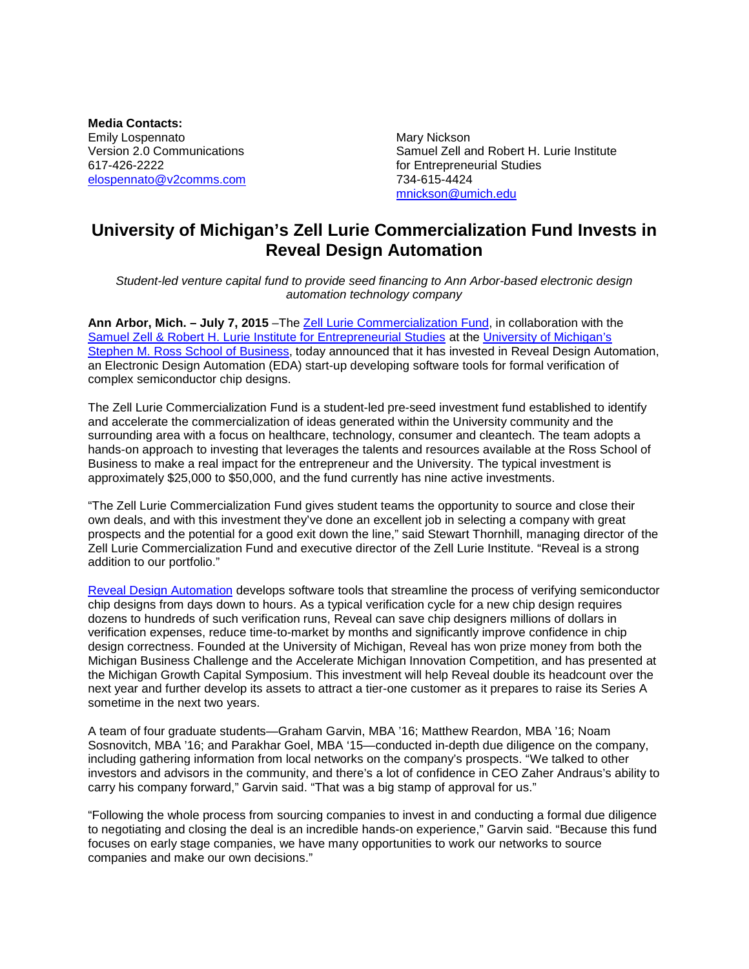**Media Contacts:** Emily Lospennato **Mary Nickson** Mary Nickson 617-426-2222 for Entrepreneurial Studies [elospennato@v2comms.com](mailto:elospennato@v2comms.com)

Version 2.0 Communications Samuel Zell and Robert H. Lurie Institute [mnickson@umich.edu](mailto:mnickson@umich.edu)

## **University of Michigan's Zell Lurie Commercialization Fund Invests in Reveal Design Automation**

*Student-led venture capital fund to provide seed financing to Ann Arbor-based electronic design automation technology company* 

**Ann Arbor, Mich. – July 7, 2015** –The [Zell Lurie Commercialization Fund,](http://www.zli.bus.umich.edu/wvf/zlcf_fund.asp) in collaboration with the [Samuel Zell & Robert H. Lurie Institute for Entrepreneurial Studies](http://www.zli.bus.umich.edu/index.asp) at the University of Michigan's [Stephen M. Ross School of Business,](http://michiganross.umich.edu/) today announced that it has invested in Reveal Design Automation, an Electronic Design Automation (EDA) start-up developing software tools for formal verification of complex semiconductor chip designs.

The Zell Lurie Commercialization Fund is a student-led pre-seed investment fund established to identify and accelerate the commercialization of ideas generated within the University community and the surrounding area with a focus on healthcare, technology, consumer and cleantech. The team adopts a hands-on approach to investing that leverages the talents and resources available at the Ross School of Business to make a real impact for the entrepreneur and the University. The typical investment is approximately \$25,000 to \$50,000, and the fund currently has nine active investments.

"The Zell Lurie Commercialization Fund gives student teams the opportunity to source and close their own deals, and with this investment they've done an excellent job in selecting a company with great prospects and the potential for a good exit down the line," said Stewart Thornhill, managing director of the Zell Lurie Commercialization Fund and executive director of the Zell Lurie Institute. "Reveal is a strong addition to our portfolio."

[Reveal Design Automation](http://reveal-da.com/) develops software tools that streamline the process of verifying semiconductor chip designs from days down to hours. As a typical verification cycle for a new chip design requires dozens to hundreds of such verification runs, Reveal can save chip designers millions of dollars in verification expenses, reduce time-to-market by months and significantly improve confidence in chip design correctness. Founded at the University of Michigan, Reveal has won prize money from both the Michigan Business Challenge and the Accelerate Michigan Innovation Competition, and has presented at the Michigan Growth Capital Symposium. This investment will help Reveal double its headcount over the next year and further develop its assets to attract a tier-one customer as it prepares to raise its Series A sometime in the next two years.

A team of four graduate students—Graham Garvin, MBA '16; Matthew Reardon, MBA '16; Noam Sosnovitch, MBA '16; and Parakhar Goel, MBA '15—conducted in-depth due diligence on the company, including gathering information from local networks on the company's prospects. "We talked to other investors and advisors in the community, and there's a lot of confidence in CEO Zaher Andraus's ability to carry his company forward," Garvin said. "That was a big stamp of approval for us."

"Following the whole process from sourcing companies to invest in and conducting a formal due diligence to negotiating and closing the deal is an incredible hands-on experience," Garvin said. "Because this fund focuses on early stage companies, we have many opportunities to work our networks to source companies and make our own decisions."